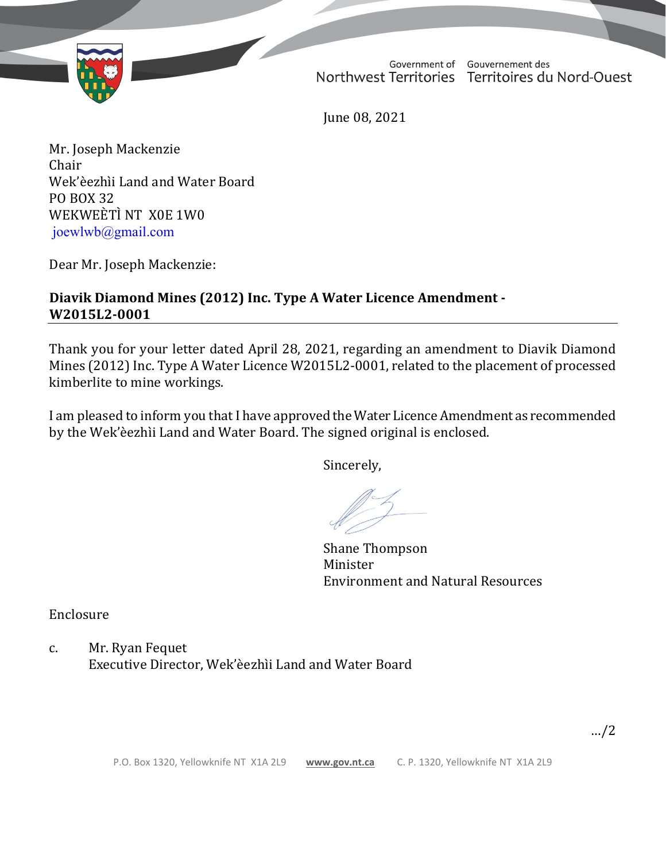

Government of Gouvernement des Northwest Territories Territoires du Nord-Ouest

June 08, 2021

Mr. Joseph Mackenzie Chair Wek'èezhìi Land and Water Board PO BOX 32 WEKWEÈTÌ NT X0E 1W0 joewlwb@gmail.com

Dear Mr. Joseph Mackenzie:

## **Diavik Diamond Mines (2012) Inc. Type A Water Licence Amendment - W2015L2-0001**

Thank you for your letter dated April 28, 2021, regarding an amendment to Diavik Diamond Mines (2012) Inc. Type A Water Licence W2015L2-0001, related to the placement of processed kimberlite to mine workings.

I am pleased to inform you that I have approved the Water Licence Amendment as recommended by the Wek'èezhìi Land and Water Board. The signed original is enclosed.

Sincerely,

Shane Thompson Minister Environment and Natural Resources

Enclosure

c. Mr. Ryan Fequet Executive Director, Wek'èezhìi Land and Water Board

…/2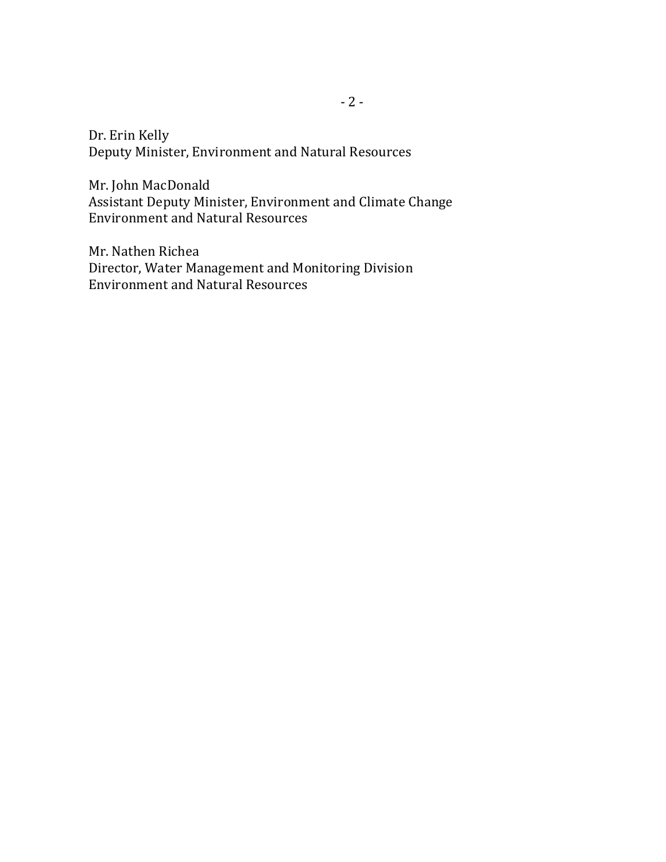Dr. Erin Kelly Deputy Minister, Environment and Natural Resources

Mr. John MacDonald Assistant Deputy Minister, Environment and Climate Change Environment and Natural Resources

Mr. Nathen Richea Director, Water Management and Monitoring Division Environment and Natural Resources